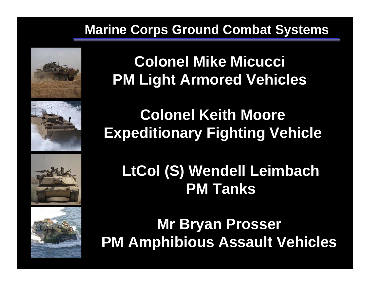## **Marine Corps Ground Combat Systems**









**Colonel Mike Micucci PM Light Armored Vehicles**

# **Colonel Keith Moore Expeditionary Fighting Vehicle**

# **LtCol (S) Wendell Leimbach PM Tanks**

**Mr Bryan Prosser PM Amphibious Assault Vehicles**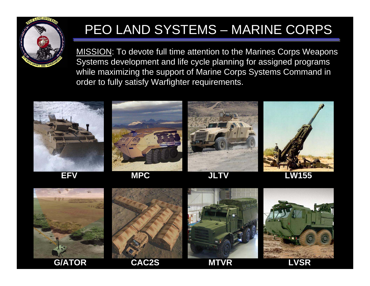

## PEO LAND SYSTEMS – MARINE CORPS

MISSION: To devote full time attention to the Marines Corps Weapons Systems development and life cycle planning for assigned programs while maximizing the support of Marine Corps Systems Command in order to fully satisfy Warfighter requirements.





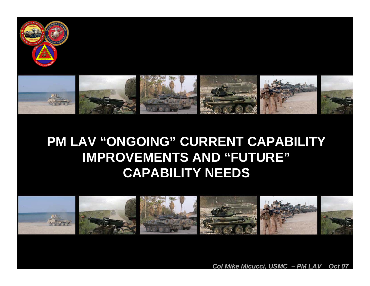



## **PM LAV "ONGOING" CURRENT CAPABILITY IMPROVEMENTS AND "FUTURE" CAPABILITY NEEDS**



*Col Mike Micucci, USMC – PM LAV Oct 07*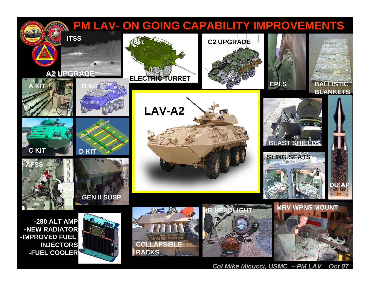### **PM LAV- ON GOING CAPABILITY IMPROVEMENTS**



*Col Mike Micucci, USMC – PM LAV Oct 07*